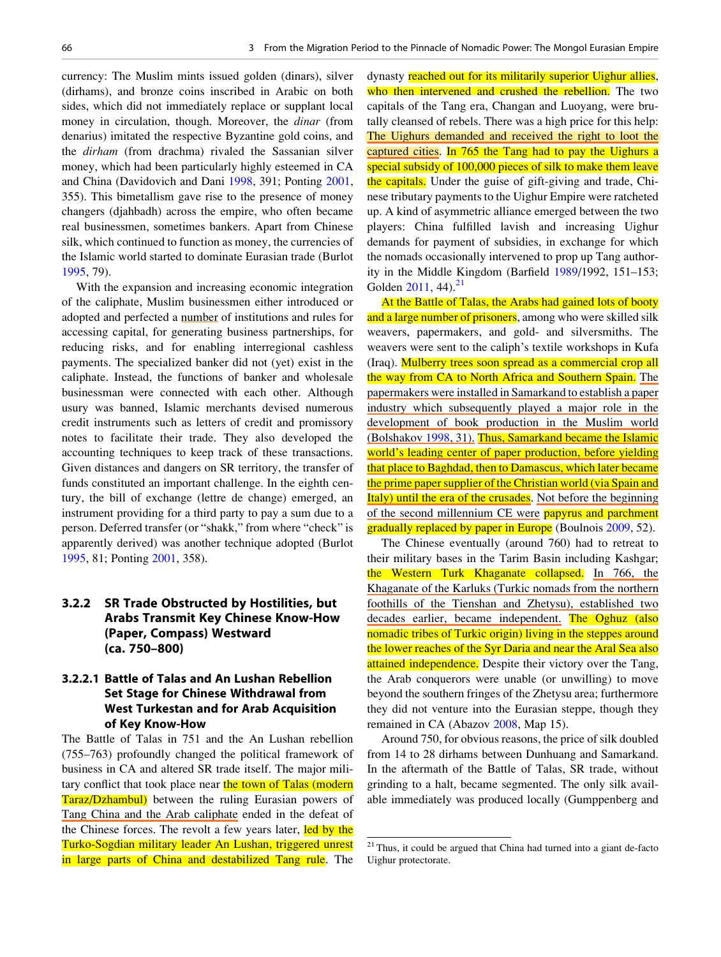currency: The Muslim mints issued golden (dinars), silver (dirhams), and bronze coins inscribed in Arabic on both sides, which did not immediately replace or supplant local money in circulation, though. Moreover, the dinar (from denarius) imitated the respective Byzantine gold coins, and the dirham (from drachma) rivaled the Sassanian silver money, which had been particularly highly esteemed in CA and China (Davidovich and Dani 1998, 391; Ponting 2001, 355). This bimetallism gave rise to the presence of money changers (djahbadh) across the empire, who often became real businessmen, sometimes bankers. Apart from Chinese silk, which continued to function as money, the currencies of the Islamic world started to dominate Eurasian trade (Burlot 1995, 79).

With the expansion and increasing economic integration of the caliphate, Muslim businessmen either introduced or adopted and perfected a number of institutions and rules for accessing capital, for generating business partnerships, for reducing risks, and for enabling interregional cashless payments. The specialized banker did not (yet) exist in the caliphate. Instead, the functions of banker and wholesale businessman were connected with each other. Although usury was banned, Islamic merchants devised numerous credit instruments such as letters of credit and promissory notes to facilitate their trade. They also developed the accounting techniques to keep track of these transactions. Given distances and dangers on SR territory, the transfer of funds constituted an important challenge. In the eighth century, the bill of exchange (lettre de change) emerged, an instrument providing for a third party to pay a sum due to a person. Deferred transfer (or "shakk," from where "check" is apparently derived) was another technique adopted (Burlot 1995, 81; Ponting 2001, 358).

## 3.2.2 SR Trade Obstructed by Hostilities, but Arabs Transmit Key Chinese Know-How (Paper, Compass) Westward (ca. 750–800)

## 3.2.2.1 Battle of Talas and An Lushan Rebellion Set Stage for Chinese Withdrawal from West Turkestan and for Arab Acquisition of Key Know-How

The Battle of Talas in 751 and the An Lushan rebellion (755–763) profoundly changed the political framework of business in CA and altered SR trade itself. The major military conflict that took place near the town of Talas (modern Taraz/Dzhambul) between the ruling Eurasian powers of Tang China and the Arab caliphate ended in the defeat of the Chinese forces. The revolt a few years later, led by the Turko-Sogdian military leader An Lushan, triggered unrest in large parts of China and destabilized Tang rule. The dynasty reached out for its militarily superior Uighur allies, who then intervened and crushed the rebellion. The two capitals of the Tang era, Changan and Luoyang, were brutally cleansed of rebels. There was a high price for this help: The Uighurs demanded and received the right to loot the captured cities. In 765 the Tang had to pay the Uighurs a special subsidy of 100,000 pieces of silk to make them leave the capitals. Under the guise of gift-giving and trade, Chinese tributary payments to the Uighur Empire were ratcheted up. A kind of asymmetric alliance emerged between the two players: China fulfilled lavish and increasing Uighur demands for payment of subsidies, in exchange for which the nomads occasionally intervened to prop up Tang authority in the Middle Kingdom (Barfield 1989/1992, 151–153; Golden  $2011, 44$ .<sup>21</sup>

At the Battle of Talas, the Arabs had gained lots of booty and a large number of prisoners, among who were skilled silk weavers, papermakers, and gold- and silversmiths. The weavers were sent to the caliph's textile workshops in Kufa (Iraq). Mulberry trees soon spread as a commercial crop all the way from CA to North Africa and Southern Spain. The papermakers were installed in Samarkand to establish a paper industry which subsequently played a major role in the development of book production in the Muslim world (Bolshakov 1998, 31). Thus, Samarkand became the Islamic world's leading center of paper production, before yielding that place to Baghdad, then to Damascus, which later became the prime paper supplier of the Christian world (via Spain and Italy) until the era of the crusades. Not before the beginning of the second millennium CE were papyrus and parchment gradually replaced by paper in Europe (Boulnois 2009, 52).

The Chinese eventually (around 760) had to retreat to their military bases in the Tarim Basin including Kashgar; the Western Turk Khaganate collapsed. In 766, the Khaganate of the Karluks (Turkic nomads from the northern foothills of the Tienshan and Zhetysu), established two decades earlier, became independent. The Oghuz (also nomadic tribes of Turkic origin) living in the steppes around the lower reaches of the Syr Daria and near the Aral Sea also attained independence. Despite their victory over the Tang, the Arab conquerors were unable (or unwilling) to move beyond the southern fringes of the Zhetysu area; furthermore they did not venture into the Eurasian steppe, though they remained in CA (Abazov 2008, Map 15).

Around 750, for obvious reasons, the price of silk doubled from 14 to 28 dirhams between Dunhuang and Samarkand. In the aftermath of the Battle of Talas, SR trade, without grinding to a halt, became segmented. The only silk available immediately was produced locally (Gumppenberg and

 $21$  Thus, it could be argued that China had turned into a giant de-facto Uighur protectorate.